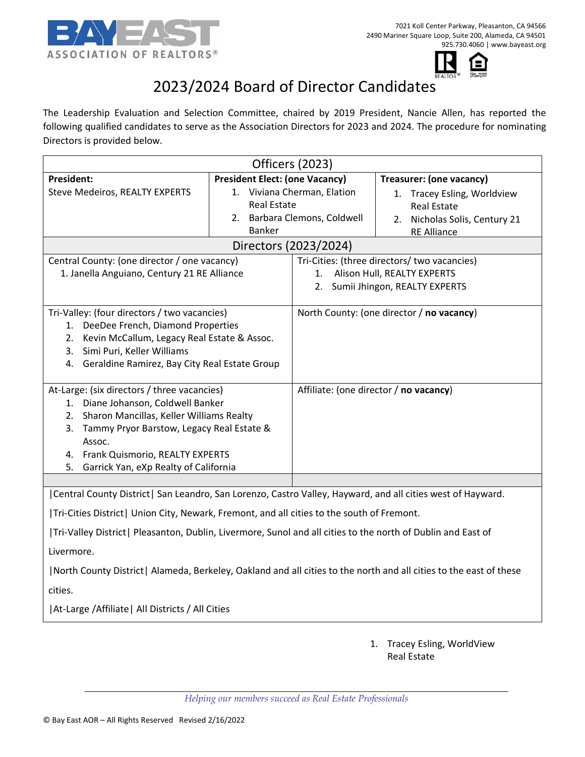



# 2023/2024 Board of Director Candidates

The Leadership Evaluation and Selection Committee, chaired by 2019 President, Nancie Allen, has reported the following qualified candidates to serve as the Association Directors for 2023 and 2024. The procedure for nominating Directors is provided below.

| Officers (2023)                                                                                                                                                                                                                                                                                                           |                                       |                                                                                                                    |                                                                                                          |
|---------------------------------------------------------------------------------------------------------------------------------------------------------------------------------------------------------------------------------------------------------------------------------------------------------------------------|---------------------------------------|--------------------------------------------------------------------------------------------------------------------|----------------------------------------------------------------------------------------------------------|
| <b>President:</b>                                                                                                                                                                                                                                                                                                         | <b>President Elect: (one Vacancy)</b> |                                                                                                                    | Treasurer: (one vacancy)                                                                                 |
| <b>Steve Medeiros, REALTY EXPERTS</b>                                                                                                                                                                                                                                                                                     | <b>Real Estate</b><br><b>Banker</b>   | 1. Viviana Cherman, Elation<br>2. Barbara Clemons, Coldwell                                                        | 1. Tracey Esling, Worldview<br><b>Real Estate</b><br>2. Nicholas Solis, Century 21<br><b>RE Alliance</b> |
| Directors (2023/2024)                                                                                                                                                                                                                                                                                                     |                                       |                                                                                                                    |                                                                                                          |
| Central County: (one director / one vacancy)<br>1. Janella Anguiano, Century 21 RE Alliance                                                                                                                                                                                                                               |                                       | Tri-Cities: (three directors/ two vacancies)<br>1. Alison Hull, REALTY EXPERTS<br>2. Sumii Jhingon, REALTY EXPERTS |                                                                                                          |
| Tri-Valley: (four directors / two vacancies)<br>1. DeeDee French, Diamond Properties<br>Kevin McCallum, Legacy Real Estate & Assoc.<br>2.<br>3. Simi Puri, Keller Williams<br>4. Geraldine Ramirez, Bay City Real Estate Group                                                                                            |                                       | North County: (one director / no vacancy)                                                                          |                                                                                                          |
| At-Large: (six directors / three vacancies)<br>1. Diane Johanson, Coldwell Banker<br>2. Sharon Mancillas, Keller Williams Realty<br>3. Tammy Pryor Barstow, Legacy Real Estate &<br>Assoc.<br>4. Frank Quismorio, REALTY EXPERTS<br>Garrick Yan, eXp Realty of California<br>5.                                           |                                       |                                                                                                                    | Affiliate: (one director / no vacancy)                                                                   |
|                                                                                                                                                                                                                                                                                                                           |                                       |                                                                                                                    |                                                                                                          |
| Central County District   San Leandro, San Lorenzo, Castro Valley, Hayward, and all cities west of Hayward.<br> Tri-Cities District  Union City, Newark, Fremont, and all cities to the south of Fremont.<br>Tri-Valley District   Pleasanton, Dublin, Livermore, Sunol and all cities to the north of Dublin and East of |                                       |                                                                                                                    |                                                                                                          |
|                                                                                                                                                                                                                                                                                                                           |                                       |                                                                                                                    |                                                                                                          |
| Livermore.                                                                                                                                                                                                                                                                                                                |                                       |                                                                                                                    |                                                                                                          |
| North County District  Alameda, Berkeley, Oakland and all cities to the north and all cities to the east of these                                                                                                                                                                                                         |                                       |                                                                                                                    |                                                                                                          |
| cities.                                                                                                                                                                                                                                                                                                                   |                                       |                                                                                                                    |                                                                                                          |

|At-Large /Affiliate| All Districts / All Cities

1. Tracey Esling, WorldView Real Estate

*Helping our members succeed as Real Estate Professionals*